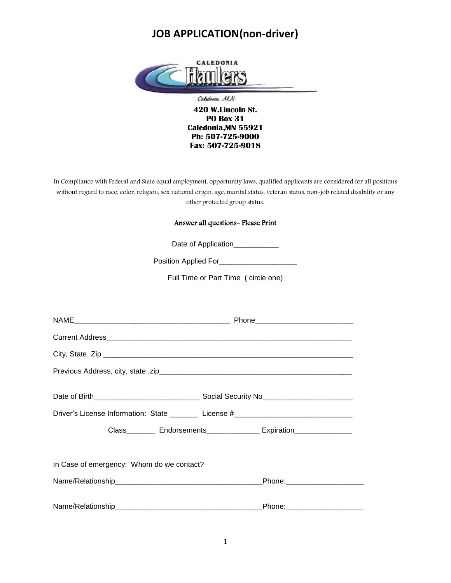

In Compliance with Federal and State equal employment, opportunity laws, qualified applicants are considered for all positions without regard to race, color, religion, sex national origin, age, marital status, veteran status, non-job related disability or any other protected group status.

#### Answer all questions- Please Print

Date of Application\_\_\_\_\_\_\_\_\_\_\_

Position Applied For\_\_\_\_\_\_\_\_\_\_\_\_\_\_\_\_\_\_\_

Full Time or Part Time ( circle one)

|                                           | Driver's License Information: State ________ License #__________________________ |
|-------------------------------------------|----------------------------------------------------------------------------------|
|                                           | Class___________ Endorsements_________________ Expiration__________________      |
|                                           |                                                                                  |
| In Case of emergency: Whom do we contact? |                                                                                  |
|                                           | _Phone:_______________________                                                   |
|                                           |                                                                                  |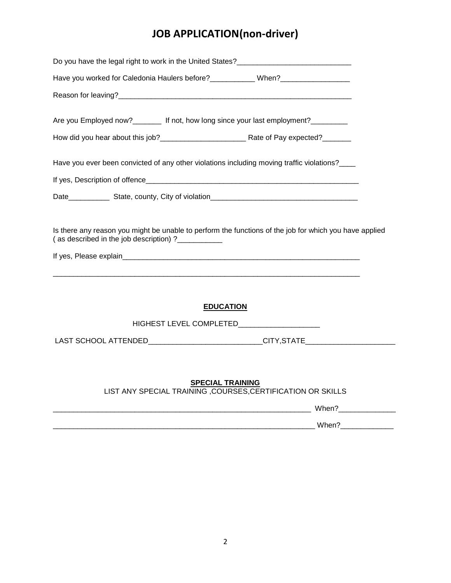| Do you have the legal right to work in the United States?_______________________                                                                             |
|--------------------------------------------------------------------------------------------------------------------------------------------------------------|
| Have you worked for Caledonia Haulers before? ____________ When? ________________                                                                            |
|                                                                                                                                                              |
| Are you Employed now?________ If not, how long since your last employment?_______                                                                            |
| Have you ever been convicted of any other violations including moving traffic violations?____                                                                |
|                                                                                                                                                              |
|                                                                                                                                                              |
| Is there any reason you might be unable to perform the functions of the job for which you have applied<br>(as described in the job description) ?___________ |
| <b>EDUCATION</b>                                                                                                                                             |
| LAST SCHOOL ATTENDED_____________________________CITY,STATE_____________________                                                                             |
|                                                                                                                                                              |
| <b>SPECIAL TRAINING</b><br>LIST ANY SPECIAL TRAINING , COURSES, CERTIFICATION OR SKILLS                                                                      |
|                                                                                                                                                              |

| ________ | 11/han |
|----------|--------|
|          |        |
|          | When   |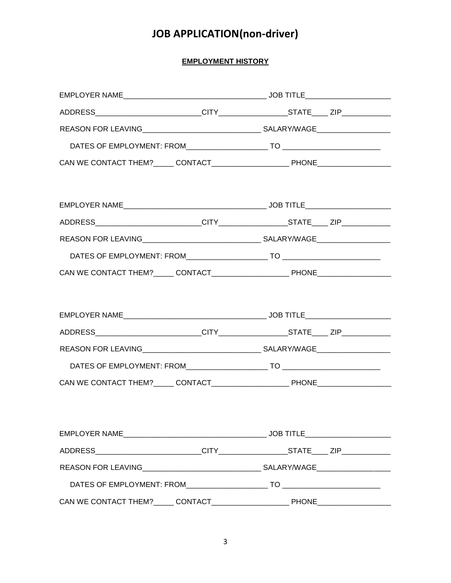### **EMPLOYMENT HISTORY**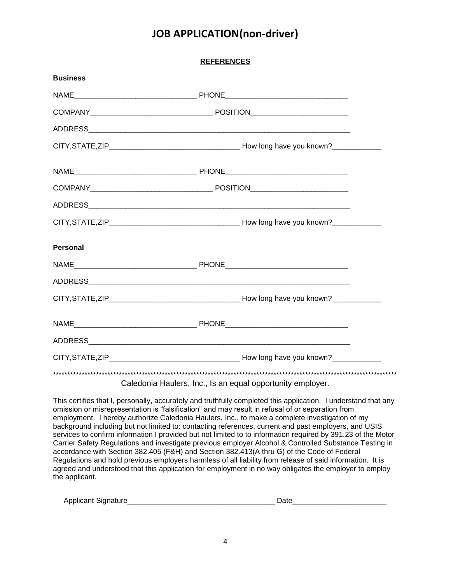**REFERENCES**

| <b>Business</b> |  |
|-----------------|--|
|                 |  |
|                 |  |
|                 |  |
|                 |  |
|                 |  |
|                 |  |
|                 |  |
|                 |  |
| <b>Personal</b> |  |
|                 |  |
|                 |  |
|                 |  |
|                 |  |
|                 |  |
|                 |  |
|                 |  |

Caledonia Haulers, Inc., Is an equal opportunity employer.

This certifies that I, personally, accurately and truthfully completed this application. I understand that any omission or misrepresentation is "falsification" and may result in refusal of or separation from employment. I hereby authorize Caledonia Haulers, Inc., to make a complete investigation of my background including but not limited to: contacting references, current and past employers, and USIS services to confirm information I provided but not limited to to information required by 391.23 of the Motor Carrier Safety Regulations and investigate previous employer Alcohol & Controlled Substance Testing in accordance with Section 382.405 (F&H) and Section 382.413(A thru G) of the Code of Federal Regulations and hold previous employers harmless of all liability from release of said information. It is agreed and understood that this application for employment in no way obligates the employer to employ the applicant.

| Apr<br><br>.<br>siar.<br>olican<br>чимин. |  |
|-------------------------------------------|--|
|                                           |  |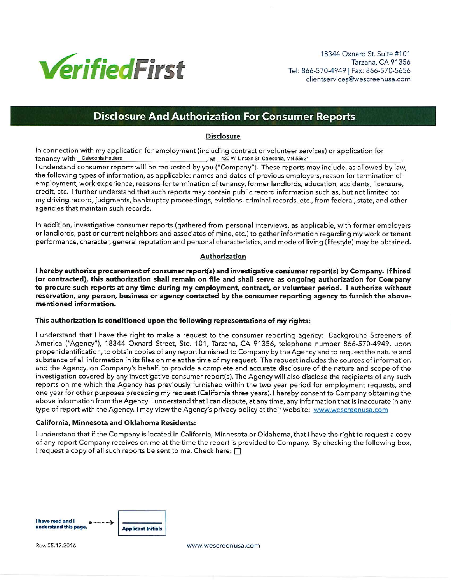

18344 Oxnard St. Suite #101 Tarzana, CA 91356 Tel: 866-570-4949 | Fax: 866-570-5656 clientservices@wescreenusa.com

## **Disclosure And Authorization For Consumer Reports**

#### **Disclosure**

In connection with my application for employment (including contract or volunteer services) or application for tenancy with Caledonia Haulers , at 420 W. Lincoln St. Caledonia, MN 55921

I understand consumer reports will be requested by you ("Company"). These reports may include, as allowed by law, the following types of information, as applicable: names and dates of previous employers, reason for termination of employment, work experience, reasons for termination of tenancy, former landlords, education, accidents, licensure, credit, etc. I further understand that such reports may contain public record information such as, but not limited to: my driving record, judgments, bankruptcy proceedings, evictions, criminal records, etc., from federal, state, and other agencies that maintain such records.

In addition, investigative consumer reports (gathered from personal interviews, as applicable, with former employers or landlords, past or current neighbors and associates of mine, etc.) to gather information regarding my work or tenant performance, character, general reputation and personal characteristics, and mode of living (lifestyle) may be obtained.

#### **Authorization**

I hereby authorize procurement of consumer report(s) and investigative consumer report(s) by Company. If hired (or contracted), this authorization shall remain on file and shall serve as ongoing authorization for Company to procure such reports at any time during my employment, contract, or volunteer period. I authorize without reservation, any person, business or agency contacted by the consumer reporting agency to furnish the abovementioned information.

#### This authorization is conditioned upon the following representations of my rights:

I understand that I have the right to make a request to the consumer reporting agency: Background Screeners of America ("Agency"), 18344 Oxnard Street, Ste. 101, Tarzana, CA 91356, telephone number 866-570-4949, upon proper identification, to obtain copies of any report furnished to Company by the Agency and to request the nature and substance of all information in its files on me at the time of my request. The request includes the sources of information and the Agency, on Company's behalf, to provide a complete and accurate disclosure of the nature and scope of the investigation covered by any investigative consumer report(s). The Agency will also disclose the recipients of any such reports on me which the Agency has previously furnished within the two year period for employment requests, and one year for other purposes preceding my request (California three years). I hereby consent to Company obtaining the above information from the Agency. I understand that I can dispute, at any time, any information that is inaccurate in any type of report with the Agency. I may view the Agency's privacy policy at their website: www.wescreenusa.com

#### California, Minnesota and Oklahoma Residents:

I understand that if the Company is located in California, Minnesota or Oklahoma, that I have the right to request a copy of any report Company receives on me at the time the report is provided to Company. By checking the following box, I request a copy of all such reports be sent to me. Check here:  $\Box$ 



Rev. 05.17.2016

www.wescreenusa.com